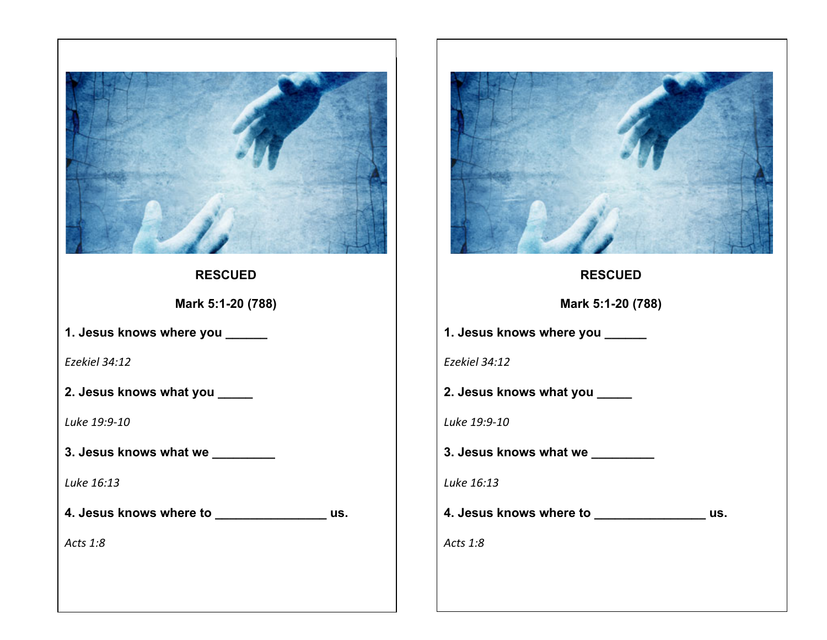

**RESCUED**

**Mark 5:1-20 (788)**

**1. Jesus knows where you \_\_\_\_\_\_**

*Ezekiel 34:12*

**2. Jesus knows what you \_\_\_\_\_**

*Luke 19:9-10*

**3. Jesus knows what we \_\_\_\_\_\_\_\_\_**

*Luke 16:13*

**4. Jesus knows where to \_\_\_\_\_\_\_\_\_\_\_\_\_\_\_\_ us.** 

*Acts 1:8*



**RESCUED**

**Mark 5:1-20 (788)**

**1. Jesus knows where you \_\_\_\_\_\_**

*Ezekiel 34:12*

**2. Jesus knows what you \_\_\_\_\_**

*Luke 19:9-10*

**3. Jesus knows what we \_\_\_\_\_\_\_\_\_**

*Luke 16:13*

**4. Jesus knows where to \_\_\_\_\_\_\_\_\_\_\_\_\_\_\_\_ us.** 

*Acts 1:8*